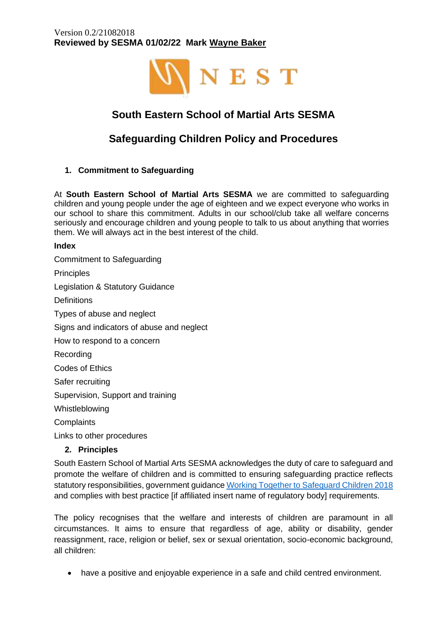

# **South Eastern School of Martial Arts SESMA**

# **Safeguarding Children Policy and Procedures**

**1. Commitment to Safeguarding**

At **South Eastern School of Martial Arts SESMA** we are committed to safeguarding children and young people under the age of eighteen and we expect everyone who works in our school to share this commitment. Adults in our school/club take all welfare concerns seriously and encourage children and young people to talk to us about anything that worries them. We will always act in the best interest of the child.

## **Index**

Commitment to Safeguarding **Principles** Legislation & Statutory Guidance **Definitions** Types of abuse and neglect Signs and indicators of abuse and neglect How to respond to a concern Recording Codes of Ethics Safer recruiting Supervision, Support and training Whistleblowing **Complaints** Links to other procedures **2. Principles**

South Eastern School of Martial Arts SESMA acknowledges the duty of care to safeguard and promote the welfare of children and is committed to ensuring safeguarding practice reflects statutory responsibilities, government guidanc[e Working Together to Safeguard Children 2018](file:///C:/Users/simonsnell/Library/Mobile%20Documents/com~apple~CloudDocs/Nest%20Management/Working_Together_to_Safeguard_Children-2018.pdf) and complies with best practice [if affiliated insert name of regulatory body] requirements.

The policy recognises that the welfare and interests of children are paramount in all circumstances. It aims to ensure that regardless of age, ability or disability, gender reassignment, race, religion or belief, sex or sexual orientation, socio-economic background, all children:

• have a positive and enjoyable experience in a safe and child centred environment.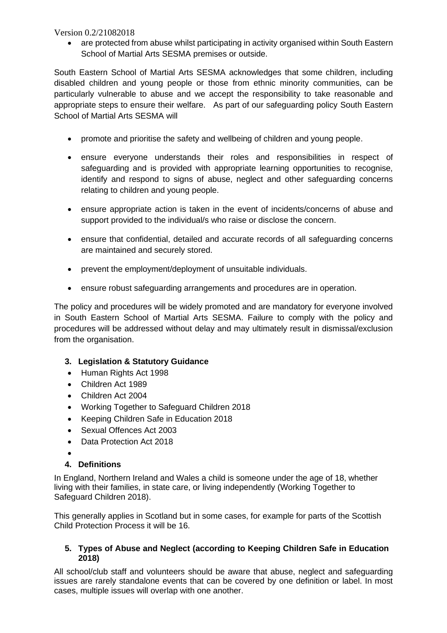are protected from abuse whilst participating in activity organised within South Eastern School of Martial Arts SESMA premises or outside.

South Eastern School of Martial Arts SESMA acknowledges that some children, including disabled children and young people or those from ethnic minority communities, can be particularly vulnerable to abuse and we accept the responsibility to take reasonable and appropriate steps to ensure their welfare. As part of our safeguarding policy South Eastern School of Martial Arts SESMA will

- promote and prioritise the safety and wellbeing of children and young people.
- ensure everyone understands their roles and responsibilities in respect of safeguarding and is provided with appropriate learning opportunities to recognise, identify and respond to signs of abuse, neglect and other safeguarding concerns relating to children and young people.
- ensure appropriate action is taken in the event of incidents/concerns of abuse and support provided to the individual/s who raise or disclose the concern.
- ensure that confidential, detailed and accurate records of all safeguarding concerns are maintained and securely stored.
- prevent the employment/deployment of unsuitable individuals.
- ensure robust safeguarding arrangements and procedures are in operation.

The policy and procedures will be widely promoted and are mandatory for everyone involved in South Eastern School of Martial Arts SESMA. Failure to comply with the policy and procedures will be addressed without delay and may ultimately result in dismissal/exclusion from the organisation.

## **3. Legislation & Statutory Guidance**

- Human Rights Act 1998
- Children Act 1989
- Children Act 2004
- Working Together to Safeguard Children 2018
- Keeping Children Safe in Education 2018
- Sexual Offences Act 2003
- Data Protection Act 2018
- •

# **4. Definitions**

In England, Northern Ireland and Wales a child is someone under the age of 18, whether living with their families, in state care, or living independently (Working Together to Safeguard Children 2018).

This generally applies in Scotland but in some cases, for example for parts of the Scottish Child Protection Process it will be 16.

## **5. Types of Abuse and Neglect (according to Keeping Children Safe in Education 2018)**

All school/club staff and volunteers should be aware that abuse, neglect and safeguarding issues are rarely standalone events that can be covered by one definition or label. In most cases, multiple issues will overlap with one another.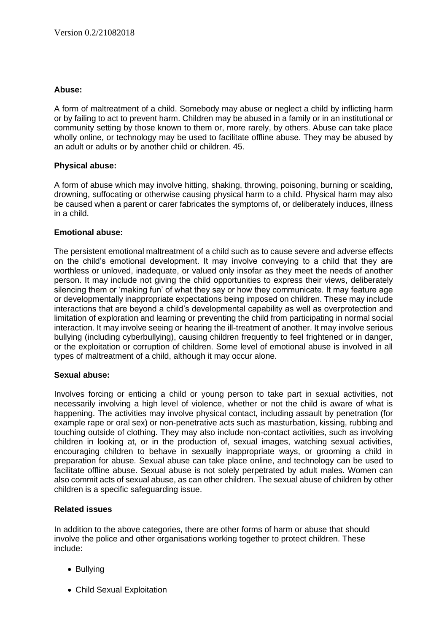## **Abuse:**

A form of maltreatment of a child. Somebody may abuse or neglect a child by inflicting harm or by failing to act to prevent harm. Children may be abused in a family or in an institutional or community setting by those known to them or, more rarely, by others. Abuse can take place wholly online, or technology may be used to facilitate offline abuse. They may be abused by an adult or adults or by another child or children. 45.

## **Physical abuse:**

A form of abuse which may involve hitting, shaking, throwing, poisoning, burning or scalding, drowning, suffocating or otherwise causing physical harm to a child. Physical harm may also be caused when a parent or carer fabricates the symptoms of, or deliberately induces, illness in a child.

## **Emotional abuse:**

The persistent emotional maltreatment of a child such as to cause severe and adverse effects on the child's emotional development. It may involve conveying to a child that they are worthless or unloved, inadequate, or valued only insofar as they meet the needs of another person. It may include not giving the child opportunities to express their views, deliberately silencing them or 'making fun' of what they say or how they communicate. It may feature age or developmentally inappropriate expectations being imposed on children. These may include interactions that are beyond a child's developmental capability as well as overprotection and limitation of exploration and learning or preventing the child from participating in normal social interaction. It may involve seeing or hearing the ill-treatment of another. It may involve serious bullying (including cyberbullying), causing children frequently to feel frightened or in danger, or the exploitation or corruption of children. Some level of emotional abuse is involved in all types of maltreatment of a child, although it may occur alone.

#### **Sexual abuse:**

Involves forcing or enticing a child or young person to take part in sexual activities, not necessarily involving a high level of violence, whether or not the child is aware of what is happening. The activities may involve physical contact, including assault by penetration (for example rape or oral sex) or non-penetrative acts such as masturbation, kissing, rubbing and touching outside of clothing. They may also include non-contact activities, such as involving children in looking at, or in the production of, sexual images, watching sexual activities, encouraging children to behave in sexually inappropriate ways, or grooming a child in preparation for abuse. Sexual abuse can take place online, and technology can be used to facilitate offline abuse. Sexual abuse is not solely perpetrated by adult males. Women can also commit acts of sexual abuse, as can other children. The sexual abuse of children by other children is a specific safeguarding issue.

#### **Related issues**

In addition to the above categories, there are other forms of harm or abuse that should involve the police and other organisations working together to protect children. These include:

- Bullying
- Child Sexual Exploitation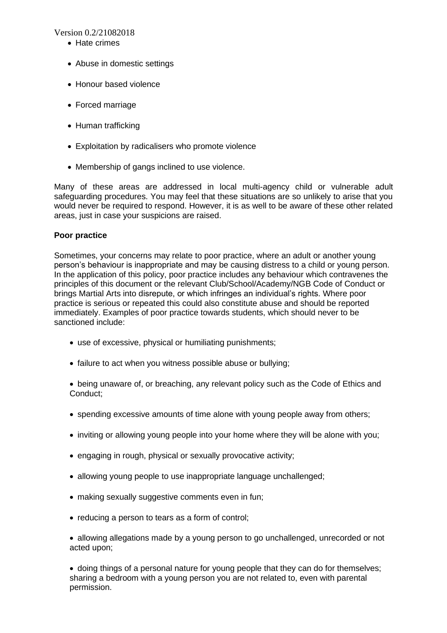- Hate crimes
- Abuse in domestic settings
- Honour based violence
- Forced marriage
- Human trafficking
- Exploitation by radicalisers who promote violence
- Membership of gangs inclined to use violence.

Many of these areas are addressed in local multi-agency child or vulnerable adult safeguarding procedures. You may feel that these situations are so unlikely to arise that you would never be required to respond. However, it is as well to be aware of these other related areas, just in case your suspicions are raised.

#### **Poor practice**

Sometimes, your concerns may relate to poor practice, where an adult or another young person's behaviour is inappropriate and may be causing distress to a child or young person. In the application of this policy, poor practice includes any behaviour which contravenes the principles of this document or the relevant Club/School/Academy/NGB Code of Conduct or brings Martial Arts into disrepute, or which infringes an individual's rights. Where poor practice is serious or repeated this could also constitute abuse and should be reported immediately. Examples of poor practice towards students, which should never to be sanctioned include:

- use of excessive, physical or humiliating punishments;
- failure to act when you witness possible abuse or bullying;

• being unaware of, or breaching, any relevant policy such as the Code of Ethics and Conduct;

- spending excessive amounts of time alone with young people away from others;
- inviting or allowing young people into your home where they will be alone with you;
- engaging in rough, physical or sexually provocative activity;
- allowing young people to use inappropriate language unchallenged;
- making sexually suggestive comments even in fun;
- reducing a person to tears as a form of control;

• allowing allegations made by a young person to go unchallenged, unrecorded or not acted upon;

• doing things of a personal nature for young people that they can do for themselves; sharing a bedroom with a young person you are not related to, even with parental permission.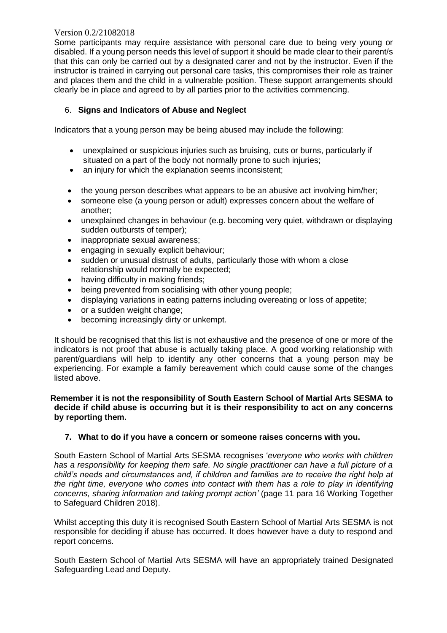Some participants may require assistance with personal care due to being very young or disabled. If a young person needs this level of support it should be made clear to their parent/s that this can only be carried out by a designated carer and not by the instructor. Even if the instructor is trained in carrying out personal care tasks, this compromises their role as trainer and places them and the child in a vulnerable position. These support arrangements should clearly be in place and agreed to by all parties prior to the activities commencing.

## 6. **Signs and Indicators of Abuse and Neglect**

Indicators that a young person may be being abused may include the following:

- unexplained or suspicious injuries such as bruising, cuts or burns, particularly if situated on a part of the body not normally prone to such injuries;
- an injury for which the explanation seems inconsistent;
- the young person describes what appears to be an abusive act involving him/her;
- someone else (a young person or adult) expresses concern about the welfare of another;
- unexplained changes in behaviour (e.g. becoming very quiet, withdrawn or displaying sudden outbursts of temper);
- inappropriate sexual awareness;
- engaging in sexually explicit behaviour;
- sudden or unusual distrust of adults, particularly those with whom a close relationship would normally be expected;
- having difficulty in making friends;
- being prevented from socialising with other young people;
- displaying variations in eating patterns including overeating or loss of appetite;
- or a sudden weight change;
- becoming increasingly dirty or unkempt.

It should be recognised that this list is not exhaustive and the presence of one or more of the indicators is not proof that abuse is actually taking place. A good working relationship with parent/guardians will help to identify any other concerns that a young person may be experiencing. For example a family bereavement which could cause some of the changes listed above.

#### **Remember it is not the responsibility of South Eastern School of Martial Arts SESMA to decide if child abuse is occurring but it is their responsibility to act on any concerns by reporting them.**

#### **7. What to do if you have a concern or someone raises concerns with you.**

South Eastern School of Martial Arts SESMA recognises '*everyone who works with children has a responsibility for keeping them safe. No single practitioner can have a full picture of a child's needs and circumstances and, if children and families are to receive the right help at the right time, everyone who comes into contact with them has a role to play in identifying concerns, sharing information and taking prompt action'* (page 11 para 16 Working Together to Safeguard Children 2018).

Whilst accepting this duty it is recognised South Eastern School of Martial Arts SESMA is not responsible for deciding if abuse has occurred. It does however have a duty to respond and report concerns.

South Eastern School of Martial Arts SESMA will have an appropriately trained Designated Safeguarding Lead and Deputy.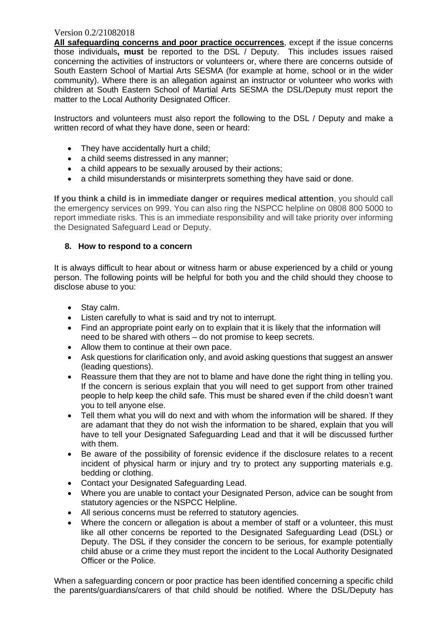**All safeguarding concerns and poor practice occurrences**, except if the issue concerns those individuals**, must** be reported to the DSL / Deputy. This includes issues raised concerning the activities of instructors or volunteers or, where there are concerns outside of South Eastern School of Martial Arts SESMA (for example at home, school or in the wider community). Where there is an allegation against an instructor or volunteer who works with children at South Eastern School of Martial Arts SESMA the DSL/Deputy must report the matter to the Local Authority Designated Officer.

Instructors and volunteers must also report the following to the DSL / Deputy and make a written record of what they have done, seen or heard:

- They have accidentally hurt a child;
- a child seems distressed in any manner;
- a child appears to be sexually aroused by their actions;
- a child misunderstands or misinterprets something they have said or done.

**If you think a child is in immediate danger or requires medical attention**, you should call the emergency services on 999. You can also ring the NSPCC helpline on 0808 800 5000 to report immediate risks. This is an immediate responsibility and will take priority over informing the Designated Safeguard Lead or Deputy.

#### **8. How to respond to a concern**

It is always difficult to hear about or witness harm or abuse experienced by a child or young person. The following points will be helpful for both you and the child should they choose to disclose abuse to you:

- Stay calm.
- Listen carefully to what is said and try not to interrupt.
- Find an appropriate point early on to explain that it is likely that the information will need to be shared with others – do not promise to keep secrets.
- Allow them to continue at their own pace.
- Ask questions for clarification only, and avoid asking questions that suggest an answer (leading questions).
- Reassure them that they are not to blame and have done the right thing in telling you. If the concern is serious explain that you will need to get support from other trained people to help keep the child safe. This must be shared even if the child doesn't want you to tell anyone else.
- Tell them what you will do next and with whom the information will be shared. If they are adamant that they do not wish the information to be shared, explain that you will have to tell your Designated Safeguarding Lead and that it will be discussed further with them.
- Be aware of the possibility of forensic evidence if the disclosure relates to a recent incident of physical harm or injury and try to protect any supporting materials e.g. bedding or clothing.
- Contact your Designated Safeguarding Lead.
- Where you are unable to contact your Designated Person, advice can be sought from statutory agencies or the NSPCC Helpline.
- All serious concerns must be referred to statutory agencies.
- Where the concern or allegation is about a member of staff or a volunteer, this must like all other concerns be reported to the Designated Safeguarding Lead (DSL) or Deputy. The DSL if they consider the concern to be serious, for example potentially child abuse or a crime they must report the incident to the Local Authority Designated Officer or the Police.

When a safeguarding concern or poor practice has been identified concerning a specific child the parents/guardians/carers of that child should be notified. Where the DSL/Deputy has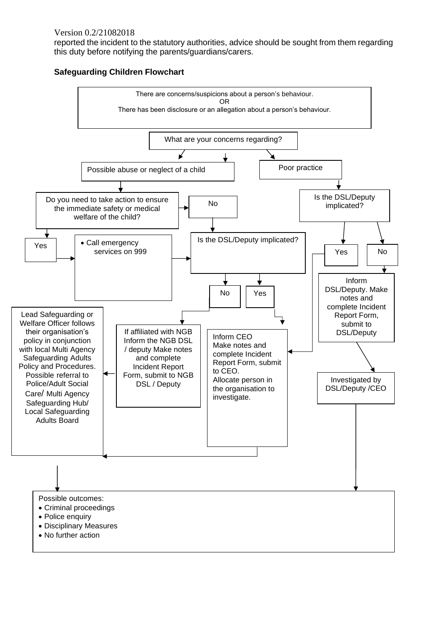reported the incident to the statutory authorities, advice should be sought from them regarding this duty before notifying the parents/guardians/carers.



#### **Safeguarding Children Flowchart**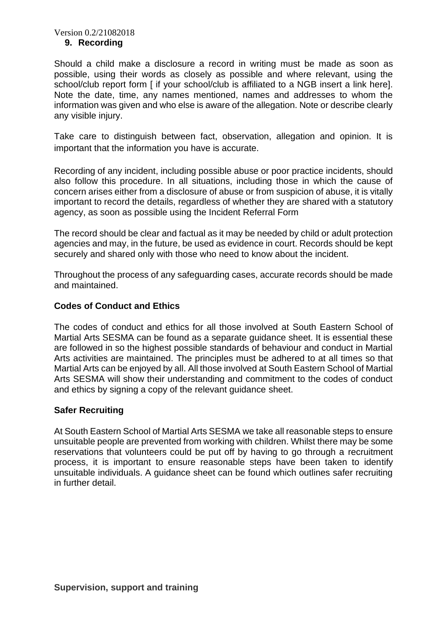#### **9. Recording**

Should a child make a disclosure a record in writing must be made as soon as possible, using their words as closely as possible and where relevant, using the school/club report form [ if your school/club is affiliated to a NGB insert a link here]. Note the date, time, any names mentioned, names and addresses to whom the information was given and who else is aware of the allegation. Note or describe clearly any visible injury.

Take care to distinguish between fact, observation, allegation and opinion. It is important that the information you have is accurate.

Recording of any incident, including possible abuse or poor practice incidents, should also follow this procedure. In all situations, including those in which the cause of concern arises either from a disclosure of abuse or from suspicion of abuse, it is vitally important to record the details, regardless of whether they are shared with a statutory agency, as soon as possible using the Incident Referral Form

The record should be clear and factual as it may be needed by child or adult protection agencies and may, in the future, be used as evidence in court. Records should be kept securely and shared only with those who need to know about the incident.

Throughout the process of any safeguarding cases, accurate records should be made and maintained.

## **Codes of Conduct and Ethics**

The codes of conduct and ethics for all those involved at South Eastern School of Martial Arts SESMA can be found as a separate guidance sheet. It is essential these are followed in so the highest possible standards of behaviour and conduct in Martial Arts activities are maintained. The principles must be adhered to at all times so that Martial Arts can be enjoyed by all. All those involved at South Eastern School of Martial Arts SESMA will show their understanding and commitment to the codes of conduct and ethics by signing a copy of the relevant guidance sheet.

## **Safer Recruiting**

At South Eastern School of Martial Arts SESMA we take all reasonable steps to ensure unsuitable people are prevented from working with children. Whilst there may be some reservations that volunteers could be put off by having to go through a recruitment process, it is important to ensure reasonable steps have been taken to identify unsuitable individuals. A guidance sheet can be found which outlines safer recruiting in further detail.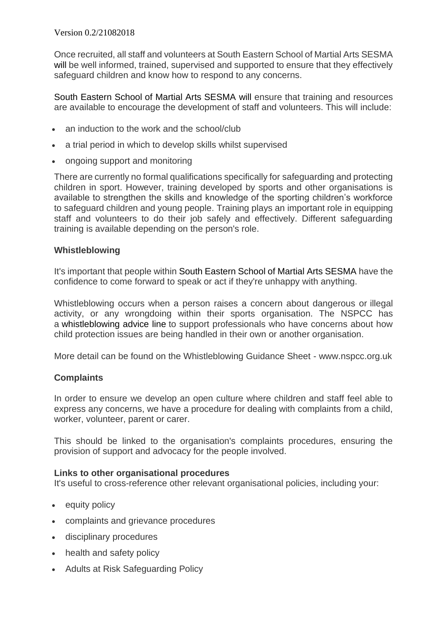Once recruited, all staff and volunteers at South Eastern School of Martial Arts SESMA will be well informed, trained, supervised and supported to ensure that they effectively safeguard children and know how to respond to any concerns.

South Eastern School of Martial Arts SESMA will ensure that training and resources are available to encourage the development of staff and volunteers. This will include:

- an induction to the work and the school/club
- a trial period in which to develop skills whilst supervised
- ongoing support and monitoring

There are currently no formal qualifications specifically for safeguarding and protecting children in sport. However, training developed by sports and other organisations is available to strengthen the skills and knowledge of the sporting children's workforce to safeguard children and young people. Training plays an important role in equipping staff and volunteers to do their job safely and effectively. Different safeguarding training is available depending on the person's role.

# **Whistleblowing**

It's important that people within South Eastern School of Martial Arts SESMA have the confidence to come forward to speak or act if they're unhappy with anything.

Whistleblowing occurs when a person raises a concern about dangerous or illegal activity, or any wrongdoing within their sports organisation. The NSPCC has a [whistleblowing](https://www.nspcc.org.uk/what-you-can-do/report-abuse/dedicated-helplines/whistleblowing-advice-line/) advice line to support professionals who have concerns about how child protection issues are being handled in their own or another organisation.

More detail can be found on the Whistleblowing Guidance Sheet - www.nspcc.org.uk

# **Complaints**

In order to ensure we develop an open culture where children and staff feel able to express any concerns, we have a procedure for dealing with complaints from a child, worker, volunteer, parent or carer.

This should be linked to the organisation's complaints procedures, ensuring the provision of support and advocacy for the people involved.

## **Links to other organisational procedures**

It's useful to cross-reference other relevant organisational policies, including your:

- equity policy
- complaints and grievance procedures
- disciplinary procedures
- health and safety policy
- Adults at Risk Safeguarding Policy